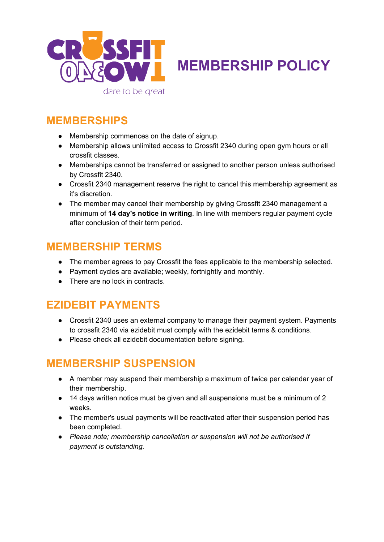

**MEMBERSHIP POLICY**

#### **MEMBERSHIPS**

- Membership commences on the date of signup.
- Membership allows unlimited access to Crossfit 2340 during open gym hours or all crossfit classes.
- Memberships cannot be transferred or assigned to another person unless authorised by Crossfit 2340.
- Crossfit 2340 management reserve the right to cancel this membership agreement as it's discretion.
- The member may cancel their membership by giving Crossfit 2340 management a minimum of **14 day's notice in writing**. In line with members regular payment cycle after conclusion of their term period.

#### **MEMBERSHIP TERMS**

- The member agrees to pay Crossfit the fees applicable to the membership selected.
- Payment cycles are available; weekly, fortnightly and monthly.
- There are no lock in contracts.

### **EZIDEBIT PAYMENTS**

- Crossfit 2340 uses an external company to manage their payment system. Payments to crossfit 2340 via ezidebit must comply with the ezidebit terms & conditions.
- Please check all ezidebit documentation before signing.

## **MEMBERSHIP SUSPENSION**

- A member may suspend their membership a maximum of twice per calendar year of their membership.
- 14 days written notice must be given and all suspensions must be a minimum of 2 weeks.
- The member's usual payments will be reactivated after their suspension period has been completed.
- *Please note; membership cancellation or suspension will not be authorised if payment is outstanding.*